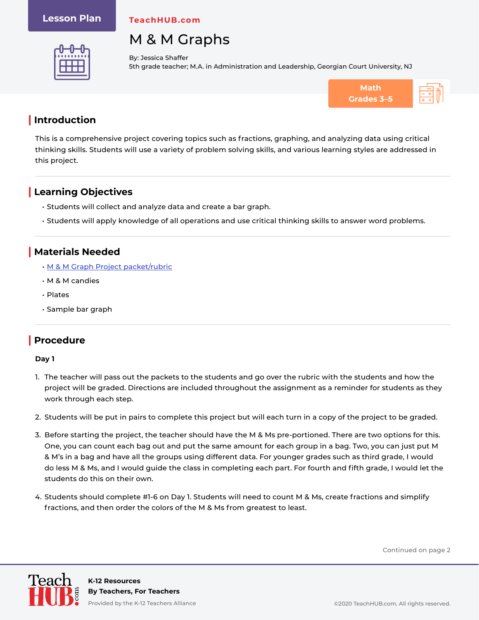#### **Lesson Plan**

**TeachHUB.com**



# M & M Graphs

By: Jessica Shaffer 5th grade teacher; M.A. in Administration and Leadership, Georgian Court University, NJ



This is a comprehensive project covering topics such as fractions, graphing, and analyzing data using critical thinking skills. Students will use a variety of problem solving skills, and various learning styles are addressed in this project.

## **| Learning Objectives**

- Students will collect and analyze data and create a bar graph.
- Students will apply knowledge of all operations and use critical thinking skills to answer word problems.

## **| Materials Needed**

- [M & M Graph Project packet/rubric](https://teachhub.wpengine.com/wp-content/uploads/2020/06/MM-Graph-Project_Rubric-and-Worksheet.pdf)
- M & M candies
- Plates
- Sample bar graph

## **| Procedure**

#### **Day 1**

- 1. The teacher will pass out the packets to the students and go over the rubric with the students and how the project will be graded. Directions are included throughout the assignment as a reminder for students as they work through each step.
- 2. Students will be put in pairs to complete this project but will each turn in a copy of the project to be graded.
- 3. Before starting the project, the teacher should have the M & Ms pre-portioned. There are two options for this. One, you can count each bag out and put the same amount for each group in a bag. Two, you can just put M & M's in a bag and have all the groups using different data. For younger grades such as third grade, I would do less M & Ms, and I would guide the class in completing each part. For fourth and fifth grade, I would let the students do this on their own.
- 4. Students should complete #1-6 on Day 1. Students will need to count M & Ms, create fractions and simplify fractions, and then order the colors of the M & Ms from greatest to least.

Continued on page 2